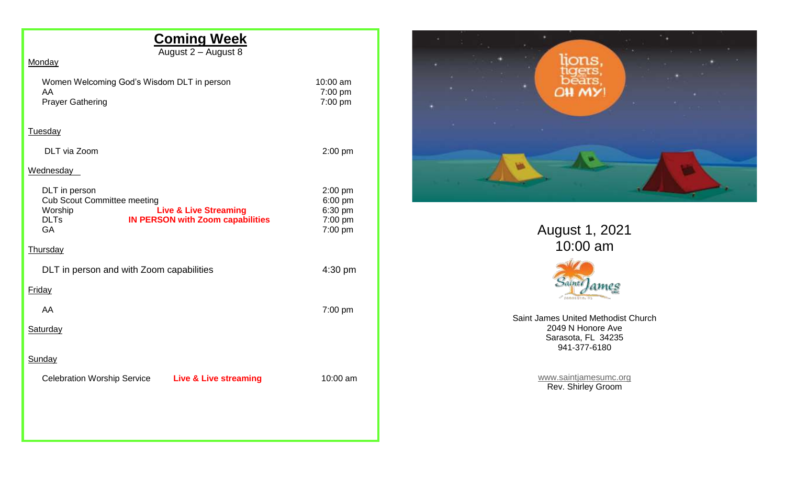# **Coming Week**

August 2 – August 8

| Monaa |
|-------|
|       |

| Women Welcoming God's Wisdom DLT in person |
|--------------------------------------------|
| AA                                         |
| <b>Prayer Gathering</b>                    |

10:00 am 7:00 pm  $7:00 \text{ pm}$ 

#### Tuesday

| DLT via Zoom                                                                        |                                                                             | $2:00$ pm                                                   |
|-------------------------------------------------------------------------------------|-----------------------------------------------------------------------------|-------------------------------------------------------------|
| Wednesday                                                                           |                                                                             |                                                             |
| DLT in person<br><b>Cub Scout Committee meeting</b><br>Worship<br><b>DLTs</b><br>GA | <b>Live &amp; Live Streaming</b><br><b>IN PERSON with Zoom capabilities</b> | $2:00$ pm<br>$6:00$ pm<br>6:30 pm<br>$7:00$ pm<br>$7:00$ pm |
| Thursday                                                                            |                                                                             |                                                             |
| DLT in person and with Zoom capabilities                                            |                                                                             | $4:30$ pm                                                   |
| Friday                                                                              |                                                                             |                                                             |
| AA                                                                                  |                                                                             | $7:00 \text{ pm}$                                           |

**Saturday** 

### **Sunday**

Celebration Worship Service **Live & Live streaming** 10:00 am



August 1, 2021 10:00 am



Saint James United Methodist Church 2049 N Honore Ave Sarasota, FL 34235 941-377-6180

> [www.saintjamesumc.org](http://www.saintjamesumc.org/) Rev. Shirley Groom